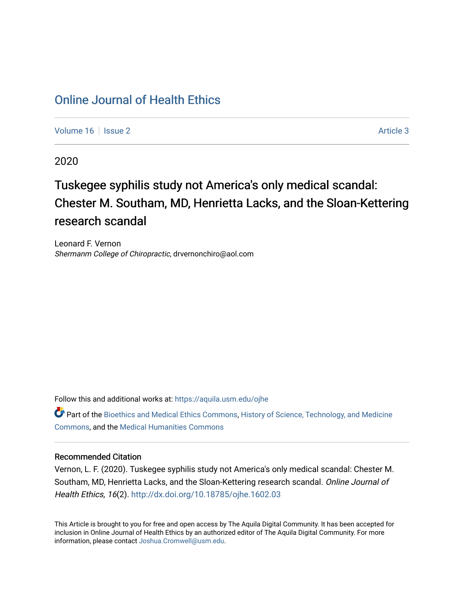### [Online Journal of Health Ethics](https://aquila.usm.edu/ojhe)

[Volume 16](https://aquila.usm.edu/ojhe/vol16) | [Issue 2](https://aquila.usm.edu/ojhe/vol16/iss2) Article 3

2020

## Tuskegee syphilis study not America's only medical scandal: Chester M. Southam, MD, Henrietta Lacks, and the Sloan-Kettering research scandal

Leonard F. Vernon Shermanm College of Chiropractic, drvernonchiro@aol.com

Follow this and additional works at: [https://aquila.usm.edu/ojhe](https://aquila.usm.edu/ojhe?utm_source=aquila.usm.edu%2Fojhe%2Fvol16%2Fiss2%2F3&utm_medium=PDF&utm_campaign=PDFCoverPages)

Part of the [Bioethics and Medical Ethics Commons,](http://network.bepress.com/hgg/discipline/650?utm_source=aquila.usm.edu%2Fojhe%2Fvol16%2Fiss2%2F3&utm_medium=PDF&utm_campaign=PDFCoverPages) [History of Science, Technology, and Medicine](http://network.bepress.com/hgg/discipline/500?utm_source=aquila.usm.edu%2Fojhe%2Fvol16%2Fiss2%2F3&utm_medium=PDF&utm_campaign=PDFCoverPages)  [Commons](http://network.bepress.com/hgg/discipline/500?utm_source=aquila.usm.edu%2Fojhe%2Fvol16%2Fiss2%2F3&utm_medium=PDF&utm_campaign=PDFCoverPages), and the [Medical Humanities Commons](http://network.bepress.com/hgg/discipline/1303?utm_source=aquila.usm.edu%2Fojhe%2Fvol16%2Fiss2%2F3&utm_medium=PDF&utm_campaign=PDFCoverPages)

### Recommended Citation

Vernon, L. F. (2020). Tuskegee syphilis study not America's only medical scandal: Chester M. Southam, MD, Henrietta Lacks, and the Sloan-Kettering research scandal. Online Journal of Health Ethics, 16(2).<http://dx.doi.org/10.18785/ojhe.1602.03>

This Article is brought to you for free and open access by The Aquila Digital Community. It has been accepted for inclusion in Online Journal of Health Ethics by an authorized editor of The Aquila Digital Community. For more information, please contact [Joshua.Cromwell@usm.edu.](mailto:Joshua.Cromwell@usm.edu)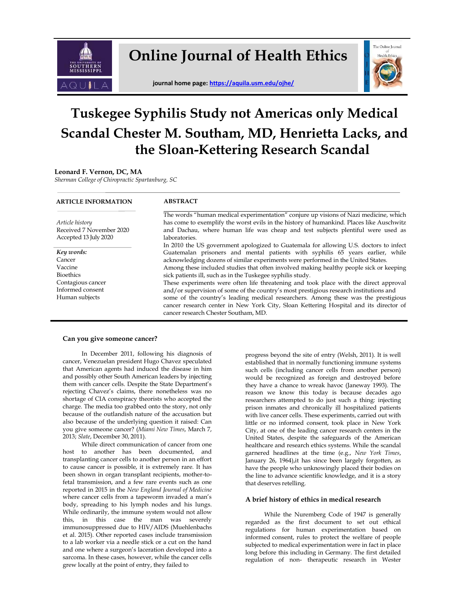

**Online Journal of Health Ethics**

**journal home page[: https://aquila.usm.edu/ojhe/](https://aquila.usm.edu/ojhe/)**



# **Tuskegee Syphilis Study not Americas only Medical Scandal Chester M. Southam, MD, Henrietta Lacks, and the Sloan-Kettering Research Scandal**

#### **Leonard F. Vernon, DC, MA**

*Sherman College of Chiropractic Spartanburg, SC*

#### **ARTICLE INFORMATION**

#### **ABSTRACT**

 *Article history* Received 7 November 2020 Accepted 13 July 2020

 *Key words:*  Cancer Vaccine Bioethics Contagious cancer Informed consent

Human subjects

The words "human medical experimentation" conjure up visions of Nazi medicine, which has come to exemplify the worst evils in the history of humankind. Places like Auschwitz and Dachau, where human life was cheap and test subjects plentiful were used as laboratories.

In 2010 the US government apologized to Guatemala for allowing U.S. doctors to infect Guatemalan prisoners and mental patients with syphilis 65 years earlier, while acknowledging dozens of similar experiments were performed in the United States. Among these included studies that often involved making healthy people sick or keeping

sick patients ill, such as in the Tuskegee syphilis study.

These experiments were often life threatening and took place with the direct approval and/or supervision of some of the country's most prestigious research institutions and some of the country's leading medical researchers. Among these was the prestigious cancer research center in New York City, Sloan Kettering Hospital and its director of cancer research Chester Southam, MD.

#### **Can you give someone cancer?**

In December 2011, following his diagnosis of cancer, Venezuelan president Hugo Chavez speculated that American agents had induced the disease in him and possibly other South American leaders by injecting them with cancer cells. Despite the State Department's rejecting Chavez's claims, there nonetheless was no shortage of CIA conspiracy theorists who accepted the charge. The media too grabbed onto the story, not only because of the outlandish nature of the accusation but also because of the underlying question it raised: Can you give someone cancer? (*Miami New Times*, March 7, 2013; *Slate*, December 30, 2011).

While direct communication of cancer from one host to another has been documented, and transplanting cancer cells to another person in an effort to cause cancer is possible, it is extremely rare. It has been shown in organ transplant recipients, mother-tofetal transmission, and a few rare events such as one reported in 2015 in the *New England Journal of Medicine*  where cancer cells from a tapeworm invaded a man's body, spreading to his lymph nodes and his lungs. While ordinarily, the immune system would not allow this, in this case the man was severely immunosuppressed due to HIV/AIDS (Muehlenbachs et al. 2015). Other reported cases include transmission to a lab worker via a needle stick or a cut on the hand and one where a surgeon's laceration developed into a sarcoma. In these cases, however, while the cancer cells grew locally at the point of entry, they failed to

progress beyond the site of entry (Welsh, 2011). It is well established that in normally functioning immune systems such cells (including cancer cells from another person) would be recognized as foreign and destroyed before they have a chance to wreak havoc (Janeway 1993). The reason we know this today is because decades ago researchers attempted to do just such a thing: injecting prison inmates and chronically ill hospitalized patients with live cancer cells. These experiments, carried out with little or no informed consent, took place in New York City, at one of the leading cancer research centers in the United States, despite the safeguards of the American healthcare and research ethics systems. While the scandal garnered headlines at the time (e.g., *New York Times*, January 26, 1964),it has since been largely forgotten, as have the people who unknowingly placed their bodies on the line to advance scientific knowledge, and it is a story that deserves retelling.

#### **A brief history of ethics in medical research**

While the Nuremberg Code of 1947 is generally regarded as the first document to set out ethical regulations for human experimentation based on informed consent, rules to protect the welfare of people subjected to medical experimentation were in fact in place long before this including in Germany. The first detailed regulation of non- therapeutic research in Wester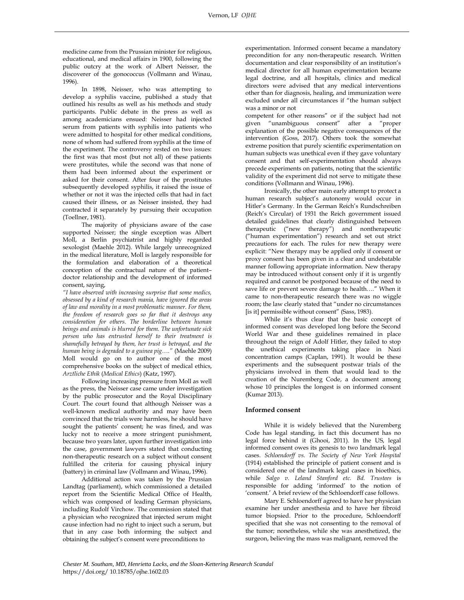medicine came from the Prussian minister for religious, educational, and medical affairs in 1900, following the public outcry at the work of Albert Neisser, the discoverer of the gonococcus (Vollmann and Winau, 1996).

In 1898, Neisser, who was attempting to develop a syphilis vaccine, published a study that outlined his results as well as his methods and study participants. Public debate in the press as well as among academicians ensued: Neisser had injected serum from patients with syphilis into patients who were admitted to hospital for other medical conditions, none of whom had suffered from syphilis at the time of the experiment. The controversy rested on two issues: the first was that most (but not all) of these patients were prostitutes, while the second was that none of them had been informed about the experiment or asked for their consent. After four of the prostitutes subsequently developed syphilis, it raised the issue of whether or not it was the injected cells that had in fact caused their illness, or as Neisser insisted, they had contracted it separately by pursuing their occupation (Toellner, 1981).

The majority of physicians aware of the case supported Neisser; the single exception was Albert Moll, a Berlin psychiatrist and highly regarded sexologist (Maehle 2012). While largely unrecognized in the medical literature, Moll is largely responsible for the formulation and elaboration of a theoretical conception of the contractual nature of the patient– doctor relationship and the development of informed consent, saying,

*"I have observed with increasing surprise that some medics, obsessed by a kind of research mania, have ignored the areas of law and morality in a most problematic manner. For them, the freedom of research goes so far that it destroys any consideration for others. The borderline between human beings and animals is blurred for them. The unfortunate sick person who has entrusted herself to their treatment is shamefully betrayed by them, her trust is betrayed, and the human being is degraded to a guinea pig…."* (Maehle 2009) Moll would go on to author one of the most comprehensive books on the subject of medical ethics, *Arztliche Ethik* (*Medical Ethics*) (Katz, 1997).

Following increasing pressure from Moll as well as the press, the Neisser case came under investigation by the public prosecutor and the Royal Disciplinary Court. The court found that although Neisser was a well-known medical authority and may have been convinced that the trials were harmless, he should have sought the patients' consent; he was fined, and was lucky not to receive a more stringent punishment, because two years later, upon further investigation into the case, government lawyers stated that conducting non-therapeutic research on a subject without consent fulfilled the criteria for causing physical injury (battery) in criminal law (Vollmann and Winau, 1996).

Additional action was taken by the Prussian Landtag (parliament), which commissioned a detailed report from the Scientific Medical Office of Health, which was composed of leading German physicians, including Rudolf Virchow. The commission stated that a physician who recognized that injected serum might cause infection had no right to inject such a serum, but that in any case both informing the subject and obtaining the subject's consent were preconditions to

experimentation. Informed consent became a mandatory precondition for any non-therapeutic research. Written documentation and clear responsibility of an institution's medical director for all human experimentation became legal doctrine, and all hospitals, clinics and medical directors were advised that any medical interventions other than for diagnosis, healing, and immunization were excluded under all circumstances if "the human subject was a minor or not

competent for other reasons" or if the subject had not given "unambiguous consent" after a "proper explanation of the possible negative consequences of the intervention (Goss, 2017). Others took the somewhat extreme position that purely scientific experimentation on human subjects was unethical even if they gave voluntary consent and that self-experimentation should always precede experiments on patients, noting that the scientific validity of the experiment did not serve to mitigate these conditions (Vollmann and Winau, 1996).

Ironically, the other main early attempt to protect a human research subject's autonomy would occur in Hitler's Germany. In the German Reich's Rundschreiben (Reich's Circular) of 1931 the Reich government issued detailed guidelines that clearly distinguished between therapeutic ("new therapy") and nontherapeutic ("human experimentation") research and set out strict precautions for each. The rules for new therapy were explicit: "New therapy may be applied only if consent or proxy consent has been given in a clear and undebatable manner following appropriate information. New therapy may be introduced without consent only if it is urgently required and cannot be postponed because of the need to save life or prevent severe damage to health…." When it came to non-therapeutic research there was no wiggle room; the law clearly stated that "under no circumstances [is it] permissible without consent" (Sass, 1983).

While it's thus clear that the basic concept of informed consent was developed long before the Second World War and these guidelines remained in place throughout the reign of Adolf Hitler, they failed to stop the unethical experiments taking place in Nazi concentration camps (Caplan, 1991). It would be these experiments and the subsequent postwar trials of the physicians involved in them that would lead to the creation of the Nuremberg Code, a document among whose 10 principles the longest is on informed consent (Kumar 2013).

#### **Informed consent**

While it is widely believed that the Nuremberg Code has legal standing, in fact this document has no legal force behind it (Ghooi, 2011). In the US, legal informed consent owes its genesis to two landmark legal cases. *Schloendorff vs. The Society of New York Hospital*  (1914) established the principle of patient consent and is considered one of the landmark legal cases in bioethics, while *Salgo v. Leland Stanford etc. Bd. Trustees* is responsible for adding 'informed' to the notion of 'consent.' A brief review of the Schloendorff case follows.

Mary E. Schloendorff agreed to have her physician examine her under anesthesia and to have her fibroid tumor biopsied. Prior to the procedure, Schloendorff specified that she was not consenting to the removal of the tumor; nonetheless, while she was anesthetized, the surgeon, believing the mass was malignant, removed the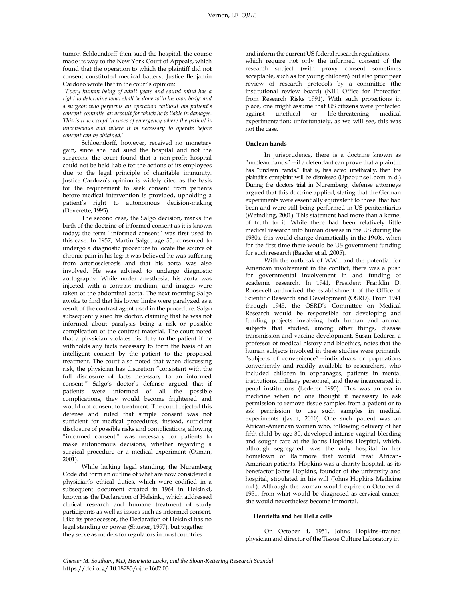tumor. Schloendorff then sued the hospital. the course made its way to the New York Court of Appeals, which found that the operation to which the plaintiff did not consent constituted medical battery. Justice Benjamin Cardozo wrote that in the court's opinion:

*"Every human being of adult years and sound mind has a right to determine what shall be done with his own body; and a surgeon who performs an operation without his patient's consent commits an assault for which he is liable in damages. This is true except in cases of emergency where the patient is unconscious and where it is necessary to operate before consent can be obtained."*

Schloendorff, however, received no monetary gain, since she had sued the hospital and not the surgeons; the court found that a non-profit hospital could not be held liable for the actions of its employees due to the legal principle of charitable immunity. Justice Cardozo's opinion is widely cited as the basis for the requirement to seek consent from patients before medical intervention is provided, upholding a patient's right to autonomous decision-making (Deverette, 1995).

The second case, the Salgo decision, marks the birth of the doctrine of informed consent as it is known today; the term "informed consent" was first used in this case. In 1957, Martin Salgo, age 55, consented to undergo a diagnostic procedure to locate the source of chronic pain in his leg; it was believed he was suffering from arteriosclerosis and that his aorta was also involved. He was advised to undergo diagnostic aortography. While under anesthesia, his aorta was injected with a contrast medium, and images were taken of the abdominal aorta. The next morning Salgo awoke to find that his lower limbs were paralyzed as a result of the contrast agent used in the procedure. Salgo subsequently sued his doctor, claiming that he was not informed about paralysis being a risk or possible complication of the contrast material. The court noted that a physician violates his duty to the patient if he withholds any facts necessary to form the basis of an intelligent consent by the patient to the proposed treatment. The court also noted that when discussing risk, the physician has discretion "consistent with the full disclosure of facts necessary to an informed consent." Salgo's doctor's defense argued that if patients were informed of all the possible complications, they would become frightened and would not consent to treatment. The court rejected this defense and ruled that simple consent was not sufficient for medical procedures; instead, sufficient disclosure of possible risks and complications, allowing "informed consent," was necessary for patients to make autonomous decisions, whether regarding a surgical procedure or a medical experiment (Osman, 2001).

While lacking legal standing, the Nuremberg Code did form an outline of what are now considered a physician's ethical duties, which were codified in a subsequent document created in 1964 in Helsinki, known as the Declaration of Helsinki, which addressed clinical research and humane treatment of study participants as well as issues such as informed consent. Like its predecessor, the Declaration of Helsinki has no legal standing or power (Shuster, 1997), but together they serve as models for regulators in most countries

and inform the current US federal research regulations, which require not only the informed consent of the research subject (with proxy consent sometimes acceptable, such as for young children) but also prior peer review of research protocols by a committee (the institutional review board) (NIH Office for Protection from Research Risks 1991). With such protections in place, one might assume that US citizens were protected against unethical or life-threatening medical experimentation; unfortunately, as we will see, this was not the case.

#### **Unclean hands**

In jurisprudence, there is a doctrine known as "unclean hands"—if a defendant can prove that a plaintiff has "unclean hands," that is, has acted unethically, then the plaintiff's complaint will be dismissed (Upcounsel.com n.d.). During the doctors trial in Nuremberg, defense attorneys argued that this doctrine applied, stating that the German experiments were essentially equivalent to those that had been and were still being performed in US penitentiaries (Weindling, 2001). This statement had more than a kernel of truth to it. While there had been relatively little medical research into human disease in the US during the 1930s, this would change dramatically in the 1940s, when for the first time there would be US government funding for such research (Baader et al. ,2005).

With the outbreak of WWII and the potential for American involvement in the conflict, there was a push for governmental involvement in and funding of academic research. In 1941, President Franklin D. Roosevelt authorized the establishment of the Office of Scientific Research and Development (OSRD). From 1941 through 1945, the OSRD's Committee on Medical Research would be responsible for developing and funding projects involving both human and animal subjects that studied, among other things, disease transmission and vaccine development. Susan Lederer, a professor of medical history and bioethics, notes that the human subjects involved in these studies were primarily "subjects of convenience"—individuals or populations conveniently and readily available to researchers, who included children in orphanages, patients in mental institutions, military personnel, and those incarcerated in penal institutions (Lederer 1995). This was an era in medicine when no one thought it necessary to ask permission to remove tissue samples from a patient or to ask permission to use such samples in medical experiments (Javitt, 2010). One such patient was an African-American women who, following delivery of her fifth child by age 30, developed intense vaginal bleeding and sought care at the Johns Hopkins Hospital, which, although segregated, was the only hospital in her hometown of Baltimore that would treat African-American patients. Hopkins was a charity hospital, as its benefactor Johns Hopkins, founder of the university and hospital, stipulated in his will (Johns Hopkins Medicine n.d.). Although the woman would expire on October 4, 1951, from what would be diagnosed as cervical cancer, she would nevertheless become immortal.

#### **Henrietta and her HeLa cells**

On October 4, 1951, Johns Hopkins–trained physician and director of the Tissue Culture Laboratory in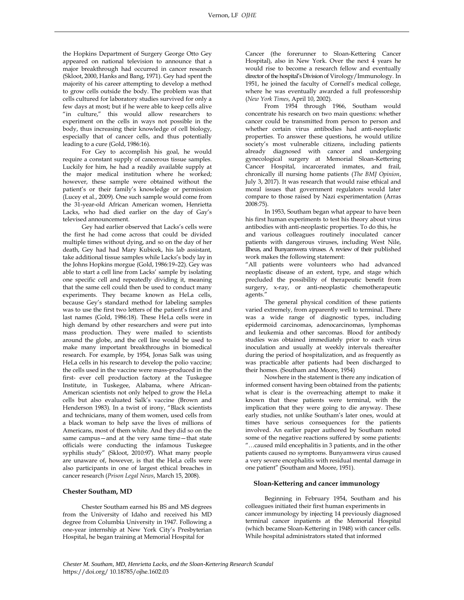the Hopkins Department of Surgery George Otto Gey appeared on national television to announce that a major breakthrough had occurred in cancer research (Skloot, 2000, Hanks and Bang, 1971). Gey had spent the majority of his career attempting to develop a method to grow cells outside the body. The problem was that cells cultured for laboratory studies survived for only a few days at most; but if he were able to keep cells alive "in culture," this would allow researchers to experiment on the cells in ways not possible in the body, thus increasing their knowledge of cell biology, especially that of cancer cells, and thus potentially leading to a cure (Gold, 1986:16).

For Gey to accomplish his goal, he would require a constant supply of cancerous tissue samples. Luckily for him, he had a readily available supply at the major medical institution where he worked; however, these sample were obtained without the patient's or their family's knowledge or permission (Lucey et al., 2009). One such sample would come from the 31-year-old African American women, Henrietta Lacks, who had died earlier on the day of Gay's televised announcement.

Gey had earlier observed that Lacks's cells were the first he had come across that could be divided multiple times without dying, and so on the day of her death, Gey had had Mary Kubicek, his lab assistant, take additional tissue samples while Lacks's body lay in the Johns Hopkins morgue (Gold, 1986:19–22). Gey was able to start a cell line from Lacks' sample by isolating one specific cell and repeatedly dividing it, meaning that the same cell could then be used to conduct many experiments. They became known as HeLa cells, because Gey's standard method for labeling samples was to use the first two letters of the patient's first and last names (Gold, 1986:18). These HeLa cells were in high demand by other researchers and were put into mass production. They were mailed to scientists around the globe, and the cell line would be used to make many important breakthroughs in biomedical research. For example, by 1954, Jonas Salk was using HeLa cells in his research to develop the polio vaccine; the cells used in the vaccine were mass-produced in the first- ever cell production factory at the Tuskegee Institute, in Tuskegee, Alabama, where African-American scientists not only helped to grow the HeLa cells but also evaluated Salk's vaccine (Brown and Henderson 1983). In a twist of irony, "Black scientists and technicians, many of them women, used cells from a black woman to help save the lives of millions of Americans, most of them white. And they did so on the same campus—and at the very same time—that state officials were conducting the infamous Tuskegee syphilis study" (Skloot, 2010:97). What many people are unaware of, however, is that the HeLa cells were also participants in one of largest ethical breaches in cancer research (*Prison Legal News*, March 15, 2008).

#### **Chester Southam, MD**

Chester Southam earned his BS and MS degrees from the University of Idaho and received his MD degree from Columbia University in 1947. Following a one-year internship at New York City's Presbyterian Hospital, he began training at Memorial Hospital for

Cancer (the forerunner to Sloan-Kettering Cancer Hospital), also in New York. Over the next 4 years he would rise to become a research fellow and eventually director of the hospital's Division of Virology/Immunology. In 1951, he joined the faculty of Cornell's medical college, where he was eventually awarded a full professorship (*New York Times*, April 10, 2002).

From 1954 through 1966, Southam would concentrate his research on two main questions: whether cancer could be transmitted from person to person and whether certain virus antibodies had anti-neoplastic properties. To answer these questions, he would utilize society's most vulnerable citizens, including patients already diagnosed with cancer and undergoing gynecological surgery at Memorial Sloan-Kettering Cancer Hospital, incarcerated inmates, and frail, chronically ill nursing home patients (*The BMJ Opinion*, July 3, 2017). It was research that would raise ethical and moral issues that government regulators would later compare to those raised by Nazi experimentation (Arras 2008:75).

In 1953, Southam began what appear to have been his first human experiments to test his theory about virus antibodies with anti-neoplastic properties. To do this, he and various colleagues routinely inoculated cancer patients with dangerous viruses, including West Nile, Ilheus, and Bunyamwera viruses. A review of their published work makes the following statement:

"All patients were volunteers who had advanced neoplastic disease of an extent, type, and stage which precluded the possibility of therapeutic benefit from surgery, x-ray, or anti-neoplastic chemotherapeutic agents."

The general physical condition of these patients varied extremely, from apparently well to terminal. There was a wide range of diagnostic types, including epidermoid carcinomas, adenocarcinomas, lymphomas and leukemia and other sarcomas. Blood for antibody studies was obtained immediately prior to each virus inoculation and usually at weekly intervals thereafter during the period of hospitalization, and as frequently as was practicable after patients had been discharged to their homes. (Southam and Moore, 1954)

Nowhere in the statement is there any indication of informed consent having been obtained from the patients; what is clear is the overreaching attempt to make it known that these patients were terminal, with the implication that they were going to die anyway. These early studies, not unlike Southam's later ones, would at times have serious consequences for the patients involved. An earlier paper authored by Southam noted some of the negative reactions suffered by some patients: "…caused mild encephalitis in 3 patients, and in the other patients caused no symptoms. Bunyamwera virus caused a very severe encephalitis with residual mental damage in one patient" (Southam and Moore, 1951).

#### **Sloan-Kettering and cancer immunology**

Beginning in February 1954, Southam and his colleagues initiated their first human experiments in cancer immunology by injecting 14 previously diagnosed terminal cancer inpatients at the Memorial Hospital (which became Sloan-Kettering in 1948) with cancer cells. While hospital administrators stated that informed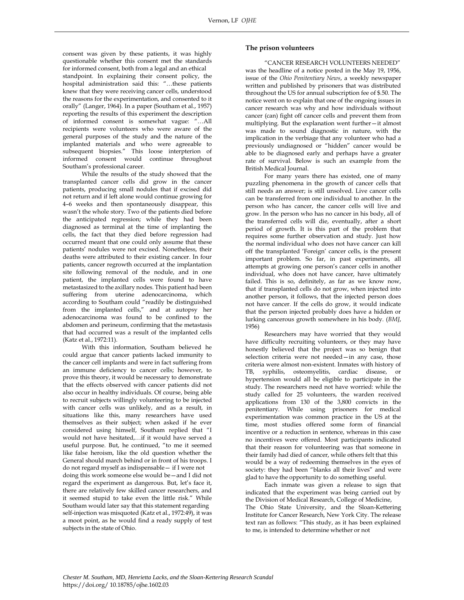consent was given by these patients, it was highly questionable whether this consent met the standards for informed consent, both from a legal and an ethical standpoint. In explaining their consent policy, the hospital administration said this: "…these patients knew that they were receiving cancer cells, understood the reasons for the experimentation, and consented to it orally" (Langer, 1964). In a paper (Southam et al., 1957) reporting the results of this experiment the description of informed consent is somewhat vague: "…All recipients were volunteers who were aware of the general purposes of the study and the nature of the implanted materials and who were agreeable to subsequent biopsies." This loose interpterion of informed consent would continue throughout Southam's professional career.

While the results of the study showed that the transplanted cancer cells did grow in the cancer patients, producing small nodules that if excised did not return and if left alone would continue growing for 4–6 weeks and then spontaneously disappear, this wasn't the whole story. Two of the patients died before the anticipated regression; while they had been diagnosed as terminal at the time of implanting the cells, the fact that they died before regression had occurred meant that one could only assume that these patients' nodules were not excised. Nonetheless, their deaths were attributed to their existing cancer. In four patients, cancer regrowth occurred at the implantation site following removal of the nodule, and in one patient, the implanted cells were found to have metastasized to the axillary nodes. This patient had been suffering from uterine adenocarcinoma, which according to Southam could "readily be distinguished from the implanted cells," and at autopsy her adenocarcinoma was found to be confined to the abdomen and perineum, confirming that the metastasis that had occurred was a result of the implanted cells (Katz et al., 1972:11).

With this information, Southam believed he could argue that cancer patients lacked immunity to the cancer cell implants and were in fact suffering from an immune deficiency to cancer cells; however, to prove this theory, it would be necessary to demonstrate that the effects observed with cancer patients did not also occur in healthy individuals. Of course, being able to recruit subjects willingly volunteering to be injected with cancer cells was unlikely, and as a result, in situations like this, many researchers have used themselves as their subject; when asked if he ever considered using himself, Southam replied that "I would not have hesitated,…if it would have served a useful purpose. But, he continued, "to me it seemed like false heroism, like the old question whether the General should march behind or in front of his troops. I do not regard myself as indispensable— if I were not doing this work someone else would be—and I did not regard the experiment as dangerous. But, let's face it, there are relatively few skilled cancer researchers, and it seemed stupid to take even the little risk." While Southam would later say that this statement regarding self-injection was misquoted (Katz et al., 1972:49), it was a moot point, as he would find a ready supply of test subjects in the state of Ohio.

#### **The prison volunteers**

 "CANCER RESEARCH VOLUNTEERS NEEDED" was the headline of a notice posted in the May 19, 1956, issue of the *Ohio Penitentiary News*, a weekly newspaper written and published by prisoners that was distributed throughout the US for annual subscription fee of \$.50. The notice went on to explain that one of the ongoing issues in cancer research was why and how individuals without cancer (can) fight off cancer cells and prevent them from multiplying. But the explanation went further—it almost was made to sound diagnostic in nature, with the implication in the verbiage that any volunteer who had a previously undiagnosed or "hidden" cancer would be able to be diagnosed early and perhaps have a greater rate of survival. Below is such an example from the British Medical Journal.

For many years there has existed, one of many puzzling phenomena in the growth of cancer cells that still needs an answer; is still unsolved. Live cancer cells can be transferred from one individual to another. In the person who has cancer, the cancer cells will live and grow. In the person who has no cancer in his body, all of the transferred cells will die, eventually, after a short period of growth. It is this part of the problem that requires some further observation and study. Just how the normal individual who does not have cancer can kill off the transplanted 'Foreign' cancer cells, is the present important problem. So far, in past experiments, all attempts at growing one person's cancer cells in another individual, who does not have cancer, have ultimately failed. This is so, definitely, as far as we know now, that if transplanted cells do not grow, when injected into another person, it follows, that the injected person does not have cancer. If the cells do grow, it would indicate that the person injected probably does have a hidden or lurking cancerous growth somewhere in his body. (*BMJ*, 1956)

Researchers may have worried that they would have difficulty recruiting volunteers, or they may have honestly believed that the project was so benign that selection criteria were not needed—in any case, those criteria were almost non-existent. Inmates with history of TB, syphilis, osteomyelitis, cardiac disease, or hypertension would all be eligible to participate in the study. The researchers need not have worried: while the study called for 25 volunteers, the warden received applications from 130 of the 3,800 convicts in the penitentiary. While using prisoners for medical experimentation was common practice in the US at the time, most studies offered some form of financial incentive or a reduction in sentence, whereas in this case no incentives were offered. Most participants indicated that their reason for volunteering was that someone in their family had died of cancer, while others felt that this would be a way of redeeming themselves in the eyes of society: they had been "blanks all their lives" and were glad to have the opportunity to do something useful.

Each inmate was given a release to sign that indicated that the experiment was being carried out by the Division of Medical Research, College of Medicine, The Ohio State University, and the Sloan-Kettering Institute for Cancer Research, New York City. The release text ran as follows: "This study, as it has been explained to me, is intended to determine whether or not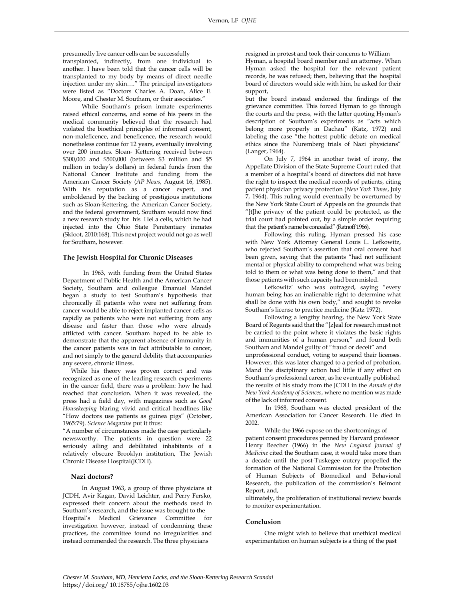presumedly live cancer cells can be successfully

transplanted, indirectly, from one individual to another. I have been told that the cancer cells will be transplanted to my body by means of direct needle injection under my skin…." The principal investigators were listed as "Doctors Charles A. Doan, Alice E. Moore, and Chester M. Southam, or their associates."

While Southam's prison inmate experiments raised ethical concerns, and some of his peers in the medical community believed that the research had violated the bioethical principles of informed consent, non-maleficence, and beneficence, the research would nonetheless continue for 12 years, eventually involving over 200 inmates. Sloan- Kettering received between \$300,000 and \$500,000 (between \$3 million and \$5 million in today's dollars) in federal funds from the National Cancer Institute and funding from the American Cancer Society (*AP News*, August 16, 1985). With his reputation as a cancer expert, and emboldened by the backing of prestigious institutions such as Sloan-Kettering, the American Cancer Society, and the federal government, Southam would now find a new research study for his HeLa cells, which he had injected into the Ohio State Penitentiary inmates (Skloot, 2010:168). This next project would not go as well for Southam, however.

#### **The Jewish Hospital for Chronic Diseases**

In 1963, with funding from the United States Department of Public Health and the American Cancer Society, Southam and colleague Emanuel Mandel began a study to test Southam's hypothesis that chronically ill patients who were not suffering from cancer would be able to reject implanted cancer cells as rapidly as patients who were not suffering from any disease and faster than those who were already afflicted with cancer. Southam hoped to be able to demonstrate that the apparent absence of immunity in the cancer patients was in fact attributable to cancer, and not simply to the general debility that accompanies any severe, chronic illness.

While his theory was proven correct and was recognized as one of the leading research experiments in the cancer field, there was a problem: how he had reached that conclusion. When it was revealed, the press had a field day, with magazines such as *Good Housekeeping* blaring vivid and critical headlines like "How doctors use patients as guinea pigs" (October, 1965:79). *Science Magazine* put it thus:

"A number of circumstances made the case particularly newsworthy. The patients in question were 22 seriously ailing and debilitated inhabitants of a relatively obscure Brooklyn institution, The Jewish Chronic Disease Hospital(JCDH).

#### **Nazi doctors?**

In August 1963, a group of three physicians at JCDH, Avir Kagan, David Leichter, and Perry Fersko, expressed their concern about the methods used in Southam's research, and the issue was brought to the Hospital's Medical Grievance Committee for investigation however, instead of condemning these practices, the committee found no irregularities and instead commended the research. The three physicians

resigned in protest and took their concerns to William Hyman, a hospital board member and an attorney. When Hyman asked the hospital for the relevant patient records, he was refused; then, believing that the hospital board of directors would side with him, he asked for their support,

but the board instead endorsed the findings of the grievance committee. This forced Hyman to go through the courts and the press, with the latter quoting Hyman's description of Southam's experiments as "acts which belong more properly in Dachau" (Katz, 1972) and labeling the case "the hottest public debate on medical ethics since the Nuremberg trials of Nazi physicians" (Langer, 1964).

On July 7, 1964 in another twist of irony, the Appellate Division of the State Supreme Court ruled that a member of a hospital's board of directors did not have the right to inspect the medical records of patients, citing patient physician privacy protection (*New York Times*, July 7, 1964). This ruling would eventually be overturned by the New York State Court of Appeals on the grounds that "[t]he privacy of the patient could be protected, as the trial court had pointed out, by a simple order requiring that the patient's name be concealed" (Ratnoff 1966).

Following this ruling, Hyman pressed his case with New York Attorney General Louis L. Lefkowitz, who rejected Southam's assertion that oral consent had been given, saying that the patients "had not sufficient mental or physical ability to comprehend what was being told to them or what was being done to them," and that those patients with such capacity had been misled.

Lefkowitz' who was outraged, saying "every human being has an inalienable right to determine what shall be done with his own body," and sought to revoke Southam's license to practice medicine (Katz 1972).

Following a lengthy hearing, the New York State Board of Regents said that the "[z]eal for research must not be carried to the point where it violates the basic rights and immunities of a human person," and found both Southam and Mandel guilty of "fraud or deceit" and unprofessional conduct, voting to suspend their licenses. However, this was later changed to a period of probation, Mand the disciplinary action had little if any effect on Southam's professional career, as he eventually published the results of his study from the JCDH in the *Annals of the New York Academy of Sciences*, where no mention was made of the lack of informed consent.

In 1968, Southam was elected president of the American Association for Cancer Research. He died in 2002.

While the 1966 expose on the shortcomings of patient consent procedures penned by Harvard professor Henry Beecher (1966) in the *New England Journal of Medicine* cited the Southam case, it would take more than a decade until the post-Tuskegee outcry propelled the formation of the National Commission for the Protection of Human Subjects of Biomedical and Behavioral Research, the publication of the commission's Belmont Report, and,

ultimately, the proliferation of institutional review boards to monitor experimentation.

#### **Conclusion**

One might wish to believe that unethical medical experimentation on human subjects is a thing of the past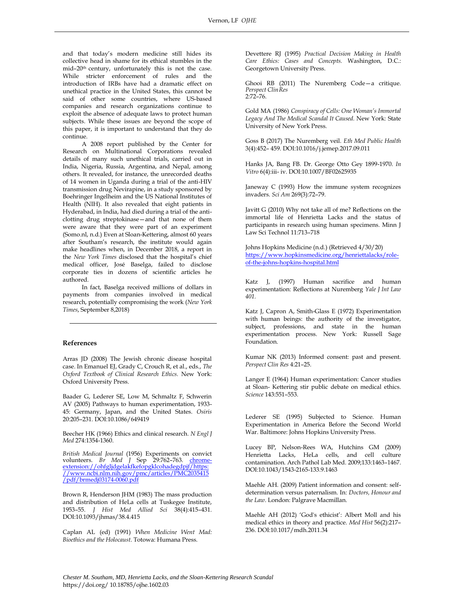and that today's modern medicine still hides its collective head in shame for its ethical stumbles in the mid–20th century, unfortunately this is not the case. While stricter enforcement of rules and the introduction of IRBs have had a dramatic effect on unethical practice in the United States, this cannot be said of other some countries, where US-based companies and research organizations continue to exploit the absence of adequate laws to protect human subjects. While these issues are beyond the scope of this paper, it is important to understand that they do continue.

A 2008 report published by the Center for Research on Multinational Corporations revealed details of many such unethical trials, carried out in India, Nigeria, Russia, Argentina, and Nepal, among others. It revealed, for instance, the unrecorded deaths of 14 women in Uganda during a trial of the anti-HIV transmission drug Nevirapine, in a study sponsored by Boehringer Ingelheim and the US National Institutes of Health (NIH). It also revealed that eight patients in Hyderabad, in India, had died during a trial of the anticlotting drug streptokinase—and that none of them were aware that they were part of an experiment (Somo.nl, n.d.) Even at Sloan-Kettering, almost 60 years after Southam's research, the institute would again make headlines when, in December 2018, a report in the *New York Times* disclosed that the hospital's chief medical officer, José Baselga, failed to disclose corporate ties in dozens of scientific articles he authored.

In fact, Baselga received millions of dollars in payments from companies involved in medical research, potentially compromising the work (*New York Times*, September 8,2018)

#### **References**

Arras JD (2008) The Jewish chronic disease hospital case. In Emanuel EJ, Grady C, Crouch R, et al., eds., *The Oxford Textbook of Clinical Research Ethics.* New York: Oxford University Press.

Baader G, Lederer SE, Low M, Schmaltz F, Schwerin AV (2005) Pathways to human experimentation, 1933- 45: Germany, Japan, and the United States. *Osiris*  20:205–231. DOI:10.1086/649419

Beecher HK (1966) Ethics and clinical research. *N Engl J Med* 274:1354-1360.

*British Medical Journal* (1956) Experiments on convict volunteers. *Br Med J* Sep 29:762–763. [chrome](chrome-extension://ohfgljdgelakfkefopgklcohadegdpjf/https:/www.ncbi.nlm.nih.gov/pmc/articles/PMC2035415/pdf/brmedj03174-0060.pdf)[extension://ohfgljdgelakfkefopgklcohadegdpjf/https:](chrome-extension://ohfgljdgelakfkefopgklcohadegdpjf/https:/www.ncbi.nlm.nih.gov/pmc/articles/PMC2035415/pdf/brmedj03174-0060.pdf) [//www.ncbi.nlm.nih.gov/pmc/articles/PMC2035415](chrome-extension://ohfgljdgelakfkefopgklcohadegdpjf/https:/www.ncbi.nlm.nih.gov/pmc/articles/PMC2035415/pdf/brmedj03174-0060.pdf) [/pdf/brmedj03174-0060.pdf](chrome-extension://ohfgljdgelakfkefopgklcohadegdpjf/https:/www.ncbi.nlm.nih.gov/pmc/articles/PMC2035415/pdf/brmedj03174-0060.pdf)

Brown R, Henderson JHM (1983) The mass production and distribution of HeLa cells at Tuskegee Institute, 1953–55. *J Hist Med Allied Sci* 38(4):415–431. DOI:10.1093/jhmas/38.4.415

Caplan AL (ed) (1991) *When Medicine Went Mad: Bioethics and the Holocaust*. Totowa: Humana Press.

Devettere RJ (1995) *Practical Decision Making in Health Care Ethics: Cases and Concepts.* Washington, D.C.: Georgetown University Press.

Ghooi RB (2011) The Nuremberg Code—a critique. *Perspect ClinRes* 2:72–76.

Gold MA (1986) *Conspiracy of Cells: One Woman's Immortal Legacy And The Medical Scandal It Caused.* New York: State University of New York Press.

Goss B (2017) The Nuremberg veil. *Eth Med Public Health*  3(4):452– 459. DOI:10.1016/j.jemep.2017.09.011

Hanks JA, Bang FB. Dr. George Otto Gey 1899-1970. *In Vitro* 6(4):iii- iv. DOI:10.1007/BF02625935

Janeway C (1993) How the immune system recognizes invaders. *Sci Am* 269(3):72–79.

Javitt G (2010) Why not take all of me? Reflections on the immortal life of Henrietta Lacks and the status of participants in research using human specimens. Minn J Law Sci Technol 11:713–718

Johns Hopkins Medicine (n.d.) (Retrieved 4/30/20) [https://www.hopkinsmedicine.org/henriettalacks/role](https://www.hopkinsmedicine.org/henriettalacks/role-of-the-johns-hopkins-hospital.html)[of-the-johns-hopkins-hospital.html](https://www.hopkinsmedicine.org/henriettalacks/role-of-the-johns-hopkins-hospital.html)

Katz J, (1997) Human sacrifice and human experimentation: Reflections at Nuremberg *Yale J Int Law 401.*

Katz J, Capron A, Smith-Glass E (1972) Experimentation with human beings: the authority of the investigator, subject, professions, and state in the human experimentation process. New York: Russell Sage Foundation.

Kumar NK (2013) Informed consent: past and present. *Perspect Clin Res* 4:21–25.

Langer E (1964) Human experimentation: Cancer studies at Sloan- Kettering stir public debate on medical ethics. *Science* 143:551–553.

Lederer SE (1995) Subjected to Science. Human Experimentation in America Before the Second World War. Baltimore: Johns Hopkins University Press.

Lucey BP, Nelson-Rees WA, Hutchins GM (2009) Henrietta Lacks, HeLa cells, and cell culture contamination. Arch Pathol Lab Med. 2009;133:1463–1467. DOI:10.1043/1543-2165-133.9.1463

Maehle AH. (2009) Patient information and consent: selfdetermination versus paternalism. In: *Doctors, Honour and the Law*. London: Palgrave Macmillan.

Maehle AH (2012) 'God's ethicist': Albert Moll and his medical ethics in theory and practice. *Med Hist* 56(2):217– 236. DOI:10.1017/mdh.2011.34